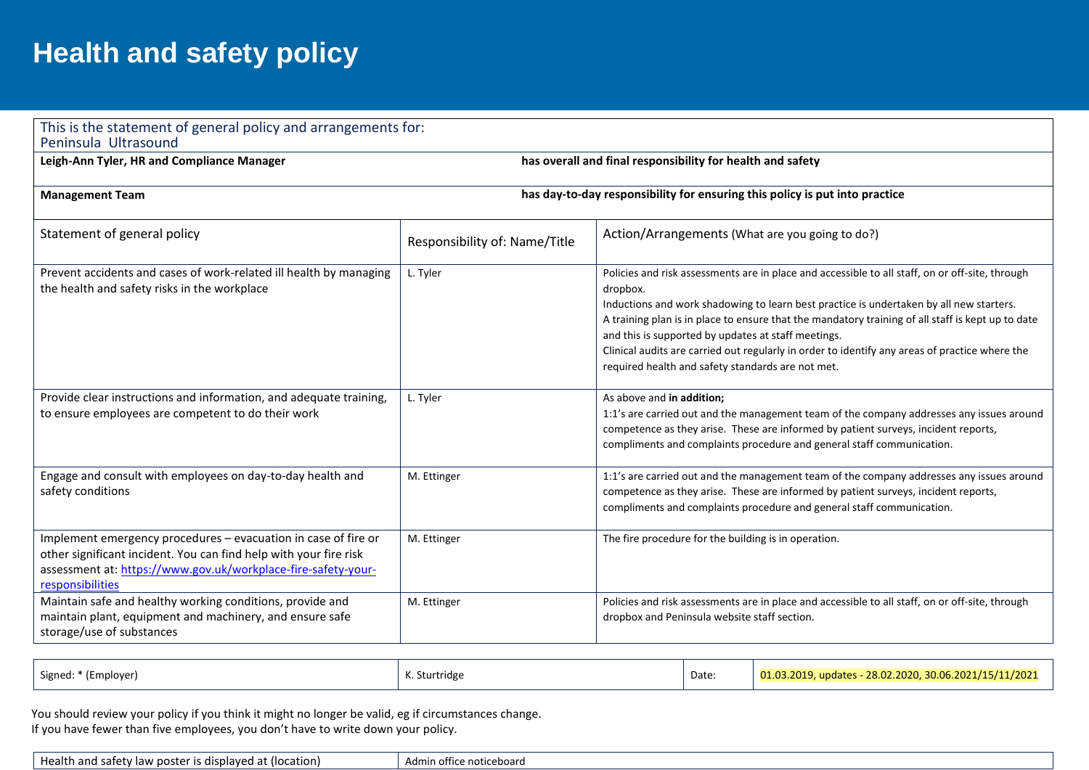## **Health and safety policy**

| Leigh-Ann Tyler, HR and Compliance Manager                                                                                                                                                                               | has overall and final responsibility for health and safety                  |                                                                                                                                                                                                                                                                                                                                                                                                                                                                                                                           |  |
|--------------------------------------------------------------------------------------------------------------------------------------------------------------------------------------------------------------------------|-----------------------------------------------------------------------------|---------------------------------------------------------------------------------------------------------------------------------------------------------------------------------------------------------------------------------------------------------------------------------------------------------------------------------------------------------------------------------------------------------------------------------------------------------------------------------------------------------------------------|--|
| <b>Management Team</b>                                                                                                                                                                                                   | has day-to-day responsibility for ensuring this policy is put into practice |                                                                                                                                                                                                                                                                                                                                                                                                                                                                                                                           |  |
| Statement of general policy                                                                                                                                                                                              | Responsibility of: Name/Title                                               | Action/Arrangements (What are you going to do?)                                                                                                                                                                                                                                                                                                                                                                                                                                                                           |  |
| Prevent accidents and cases of work-related ill health by managing<br>the health and safety risks in the workplace                                                                                                       | L. Tyler                                                                    | Policies and risk assessments are in place and accessible to all staff, on or off-site, through<br>dropbox.<br>Inductions and work shadowing to learn best practice is undertaken by all new starters.<br>A training plan is in place to ensure that the mandatory training of all staff is kept up to date<br>and this is supported by updates at staff meetings.<br>Clinical audits are carried out regularly in order to identify any areas of practice where the<br>required health and safety standards are not met. |  |
| Provide clear instructions and information, and adequate training,<br>to ensure employees are competent to do their work                                                                                                 | L. Tyler                                                                    | As above and in addition;<br>1:1's are carried out and the management team of the company addresses any issues around<br>competence as they arise. These are informed by patient surveys, incident reports,<br>compliments and complaints procedure and general staff communication.                                                                                                                                                                                                                                      |  |
| Engage and consult with employees on day-to-day health and<br>safety conditions                                                                                                                                          | M. Ettinger                                                                 | 1:1's are carried out and the management team of the company addresses any issues around<br>competence as they arise. These are informed by patient surveys, incident reports,<br>compliments and complaints procedure and general staff communication.                                                                                                                                                                                                                                                                   |  |
| Implement emergency procedures - evacuation in case of fire or<br>other significant incident. You can find help with your fire risk<br>assessment at: https://www.gov.uk/workplace-fire-safety-your-<br>responsibilities | M. Ettinger                                                                 | The fire procedure for the building is in operation.                                                                                                                                                                                                                                                                                                                                                                                                                                                                      |  |
| Maintain safe and healthy working conditions, provide and<br>maintain plant, equipment and machinery, and ensure safe<br>storage/use of substances                                                                       | M. Ettinger                                                                 | Policies and risk assessments are in place and accessible to all staff, on or off-site, through<br>dropbox and Peninsula website staff section.                                                                                                                                                                                                                                                                                                                                                                           |  |

| Signed: * (Employer) | K. Sturtridge | Date | $\mid$ 01.03.2019, updates - 28.02.2020, 30.06.2021/15/11/2021 |
|----------------------|---------------|------|----------------------------------------------------------------|
|                      |               |      |                                                                |

 You should review your policy if you think it might no longer be valid, eg if circumstances change. If you have fewer than five employees, you don't have to write down your policy.

Health and safety law poster is displayed at (location)  $\vert$  Admin office noticeboard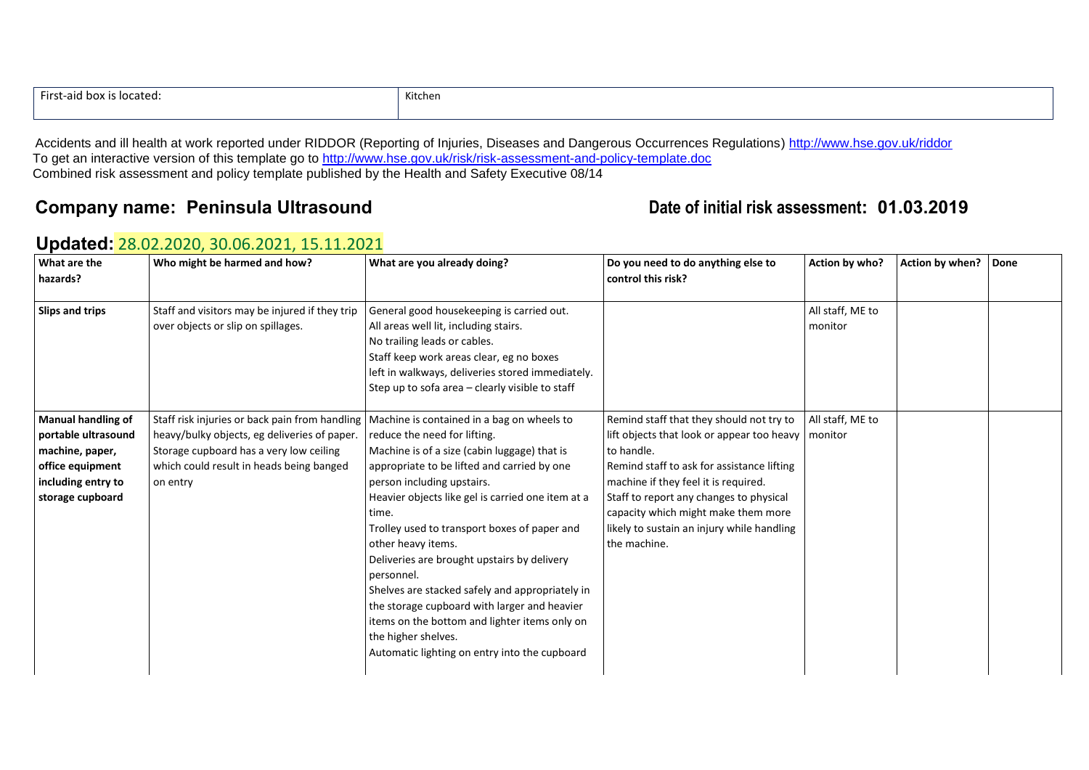| First-aid box<br>is located: | Kitchen |
|------------------------------|---------|
|                              |         |

Accidents and ill health at work reported under RIDDOR (Reporting of Injuries, Diseases and Dangerous Occurrences Regulations)<http://www.hse.gov.uk/riddor> To get an interactive version of this template go to<http://www.hse.gov.uk/risk/risk-assessment-and-policy-template.doc> Combined risk assessment and policy template published by the Health and Safety Executive 08/14

## **Company name: Peninsula Ultrasound Date of initial risk assessment: 01.03.2019**

| What are the<br>hazards?                                                                                                          | Who might be harmed and how?                                                                                                                                                                      | What are you already doing?                                                                                                                                                                                                                                                                                                                                                                                                                                                                                                                                                                                                          | Do you need to do anything else to<br>control this risk?                                                                                                                                                                                                                                                                                   | Action by who?              | Action by when?   Done |  |
|-----------------------------------------------------------------------------------------------------------------------------------|---------------------------------------------------------------------------------------------------------------------------------------------------------------------------------------------------|--------------------------------------------------------------------------------------------------------------------------------------------------------------------------------------------------------------------------------------------------------------------------------------------------------------------------------------------------------------------------------------------------------------------------------------------------------------------------------------------------------------------------------------------------------------------------------------------------------------------------------------|--------------------------------------------------------------------------------------------------------------------------------------------------------------------------------------------------------------------------------------------------------------------------------------------------------------------------------------------|-----------------------------|------------------------|--|
| Slips and trips                                                                                                                   | Staff and visitors may be injured if they trip<br>over objects or slip on spillages.                                                                                                              | General good housekeeping is carried out.<br>All areas well lit, including stairs.<br>No trailing leads or cables.<br>Staff keep work areas clear, eg no boxes<br>left in walkways, deliveries stored immediately.<br>Step up to sofa area - clearly visible to staff                                                                                                                                                                                                                                                                                                                                                                |                                                                                                                                                                                                                                                                                                                                            | All staff, ME to<br>monitor |                        |  |
| <b>Manual handling of</b><br>portable ultrasound<br>machine, paper,<br>office equipment<br>including entry to<br>storage cupboard | Staff risk injuries or back pain from handling<br>heavy/bulky objects, eg deliveries of paper.<br>Storage cupboard has a very low ceiling<br>which could result in heads being banged<br>on entry | Machine is contained in a bag on wheels to<br>reduce the need for lifting.<br>Machine is of a size (cabin luggage) that is<br>appropriate to be lifted and carried by one<br>person including upstairs.<br>Heavier objects like gel is carried one item at a<br>time.<br>Trolley used to transport boxes of paper and<br>other heavy items.<br>Deliveries are brought upstairs by delivery<br>personnel.<br>Shelves are stacked safely and appropriately in<br>the storage cupboard with larger and heavier<br>items on the bottom and lighter items only on<br>the higher shelves.<br>Automatic lighting on entry into the cupboard | Remind staff that they should not try to<br>lift objects that look or appear too heavy<br>to handle.<br>Remind staff to ask for assistance lifting<br>machine if they feel it is required.<br>Staff to report any changes to physical<br>capacity which might make them more<br>likely to sustain an injury while handling<br>the machine. | All staff, ME to<br>monitor |                        |  |

## **Updated:** 28.02.2020, 30.06.2021, 15.11.2021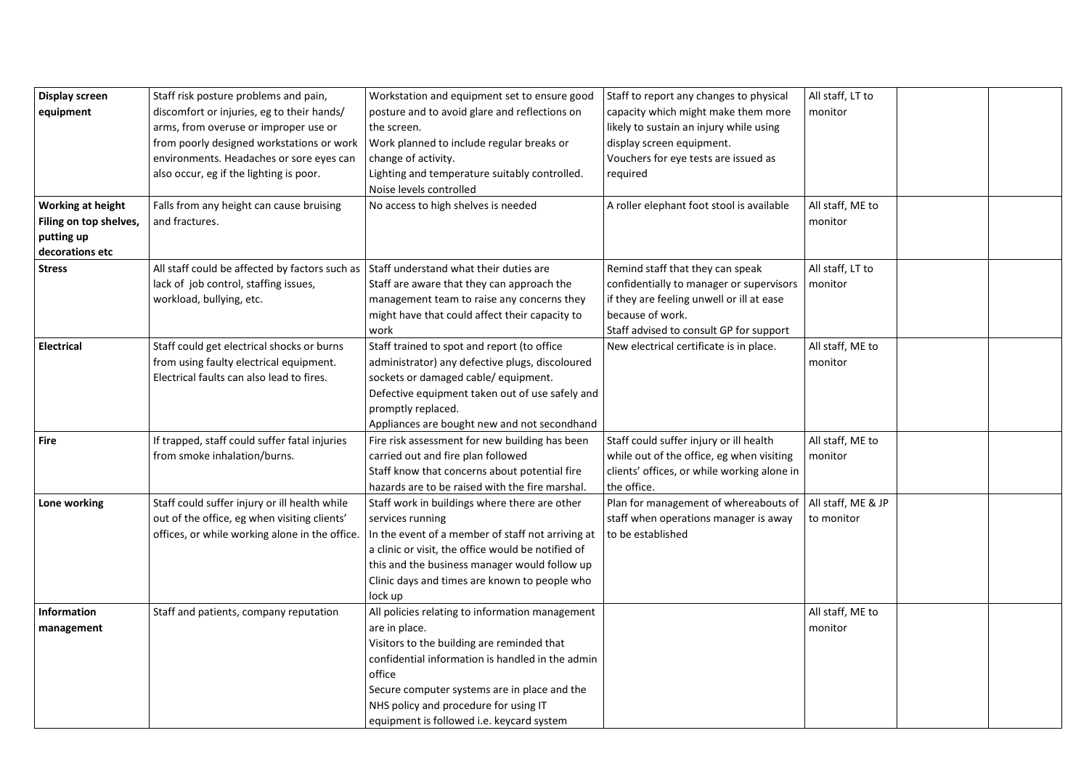| <b>Display screen</b>    | Staff risk posture problems and pain,          | Workstation and equipment set to ensure good       | Staff to report any changes to physical     | All staff, LT to   |  |
|--------------------------|------------------------------------------------|----------------------------------------------------|---------------------------------------------|--------------------|--|
| equipment                | discomfort or injuries, eg to their hands/     | posture and to avoid glare and reflections on      | capacity which might make them more         | monitor            |  |
|                          | arms, from overuse or improper use or          | the screen.                                        | likely to sustain an injury while using     |                    |  |
|                          | from poorly designed workstations or work      | Work planned to include regular breaks or          | display screen equipment.                   |                    |  |
|                          | environments. Headaches or sore eyes can       | change of activity.                                | Vouchers for eye tests are issued as        |                    |  |
|                          |                                                |                                                    |                                             |                    |  |
|                          | also occur, eg if the lighting is poor.        | Lighting and temperature suitably controlled.      | required                                    |                    |  |
|                          |                                                | Noise levels controlled                            |                                             |                    |  |
| <b>Working at height</b> | Falls from any height can cause bruising       | No access to high shelves is needed                | A roller elephant foot stool is available   | All staff, ME to   |  |
| Filing on top shelves,   | and fractures.                                 |                                                    |                                             | monitor            |  |
| putting up               |                                                |                                                    |                                             |                    |  |
| decorations etc          |                                                |                                                    |                                             |                    |  |
| <b>Stress</b>            | All staff could be affected by factors such as | Staff understand what their duties are             | Remind staff that they can speak            | All staff, LT to   |  |
|                          | lack of job control, staffing issues,          | Staff are aware that they can approach the         | confidentially to manager or supervisors    | monitor            |  |
|                          | workload, bullying, etc.                       | management team to raise any concerns they         | if they are feeling unwell or ill at ease   |                    |  |
|                          |                                                | might have that could affect their capacity to     | because of work.                            |                    |  |
|                          |                                                | work                                               | Staff advised to consult GP for support     |                    |  |
| <b>Electrical</b>        | Staff could get electrical shocks or burns     | Staff trained to spot and report (to office        | New electrical certificate is in place.     | All staff, ME to   |  |
|                          | from using faulty electrical equipment.        | administrator) any defective plugs, discoloured    |                                             | monitor            |  |
|                          | Electrical faults can also lead to fires.      | sockets or damaged cable/ equipment.               |                                             |                    |  |
|                          |                                                | Defective equipment taken out of use safely and    |                                             |                    |  |
|                          |                                                | promptly replaced.                                 |                                             |                    |  |
|                          |                                                | Appliances are bought new and not secondhand       |                                             |                    |  |
| <b>Fire</b>              | If trapped, staff could suffer fatal injuries  | Fire risk assessment for new building has been     | Staff could suffer injury or ill health     | All staff, ME to   |  |
|                          | from smoke inhalation/burns.                   | carried out and fire plan followed                 | while out of the office, eg when visiting   | monitor            |  |
|                          |                                                | Staff know that concerns about potential fire      | clients' offices, or while working alone in |                    |  |
|                          |                                                | hazards are to be raised with the fire marshal.    | the office.                                 |                    |  |
| Lone working             | Staff could suffer injury or ill health while  | Staff work in buildings where there are other      | Plan for management of whereabouts of       | All staff, ME & JP |  |
|                          | out of the office, eg when visiting clients'   | services running                                   | staff when operations manager is away       | to monitor         |  |
|                          | offices, or while working alone in the office. | In the event of a member of staff not arriving at  | to be established                           |                    |  |
|                          |                                                | a clinic or visit, the office would be notified of |                                             |                    |  |
|                          |                                                | this and the business manager would follow up      |                                             |                    |  |
|                          |                                                | Clinic days and times are known to people who      |                                             |                    |  |
|                          |                                                | lock up                                            |                                             |                    |  |
| Information              | Staff and patients, company reputation         | All policies relating to information management    |                                             | All staff, ME to   |  |
| management               |                                                | are in place.                                      |                                             | monitor            |  |
|                          |                                                | Visitors to the building are reminded that         |                                             |                    |  |
|                          |                                                | confidential information is handled in the admin   |                                             |                    |  |
|                          |                                                | office                                             |                                             |                    |  |
|                          |                                                | Secure computer systems are in place and the       |                                             |                    |  |
|                          |                                                | NHS policy and procedure for using IT              |                                             |                    |  |
|                          |                                                | equipment is followed i.e. keycard system          |                                             |                    |  |